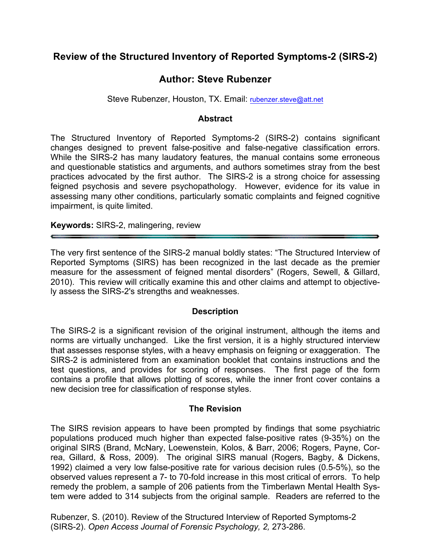# **Review of the Structured Inventory of Reported Symptoms-2 (SIRS-2)**

# **Author: Steve Rubenzer**

Steve Rubenzer, Houston, TX. Email: rubenzer.steve@att.net

#### **Abstract**

The Structured Inventory of Reported Symptoms-2 (SIRS-2) contains significant changes designed to prevent false-positive and false-negative classification errors. While the SIRS-2 has many laudatory features, the manual contains some erroneous and questionable statistics and arguments, and authors sometimes stray from the best practices advocated by the first author. The SIRS-2 is a strong choice for assessing feigned psychosis and severe psychopathology. However, evidence for its value in assessing many other conditions, particularly somatic complaints and feigned cognitive impairment, is quite limited.

**Keywords:** SIRS-2, malingering, review

The very first sentence of the SIRS-2 manual boldly states: "The Structured Interview of Reported Symptoms (SIRS) has been recognized in the last decade as the premier measure for the assessment of feigned mental disorders" (Rogers, Sewell, & Gillard, 2010). This review will critically examine this and other claims and attempt to objectively assess the SIRS-2's strengths and weaknesses.

#### **Description**

The SIRS-2 is a significant revision of the original instrument, although the items and norms are virtually unchanged. Like the first version, it is a highly structured interview that assesses response styles, with a heavy emphasis on feigning or exaggeration. The SIRS-2 is administered from an examination booklet that contains instructions and the test questions, and provides for scoring of responses. The first page of the form contains a profile that allows plotting of scores, while the inner front cover contains a new decision tree for classification of response styles.

#### **The Revision**

The SIRS revision appears to have been prompted by findings that some psychiatric populations produced much higher than expected false-positive rates (9-35%) on the original SIRS (Brand, McNary, Loewenstein, Kolos, & Barr, 2006; Rogers, Payne, Correa, Gillard, & Ross, 2009). The original SIRS manual (Rogers, Bagby, & Dickens, 1992) claimed a very low false-positive rate for various decision rules (0.5-5%), so the observed values represent a 7- to 70-fold increase in this most critical of errors. To help remedy the problem, a sample of 206 patients from the Timberlawn Mental Health System were added to 314 subjects from the original sample. Readers are referred to the

Rubenzer, S. (2010). Review of the Structured Interview of Reported Symptoms-2 (SIRS-2). *Open Access Journal of Forensic Psychology, 2,* 273-286.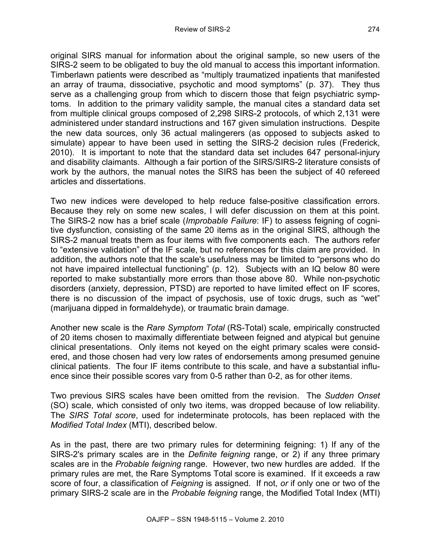original SIRS manual for information about the original sample, so new users of the SIRS-2 seem to be obligated to buy the old manual to access this important information. Timberlawn patients were described as "multiply traumatized inpatients that manifested an array of trauma, dissociative, psychotic and mood symptoms" (p. 37). They thus serve as a challenging group from which to discern those that feign psychiatric symptoms. In addition to the primary validity sample, the manual cites a standard data set from multiple clinical groups composed of 2,298 SIRS-2 protocols, of which 2,131 were administered under standard instructions and 167 given simulation instructions. Despite the new data sources, only 36 actual malingerers (as opposed to subjects asked to simulate) appear to have been used in setting the SIRS-2 decision rules (Frederick, 2010). It is important to note that the standard data set includes 647 personal-injury and disability claimants. Although a fair portion of the SIRS/SIRS-2 literature consists of work by the authors, the manual notes the SIRS has been the subject of 40 refereed articles and dissertations.

Two new indices were developed to help reduce false-positive classification errors. Because they rely on some new scales, I will defer discussion on them at this point. The SIRS-2 now has a brief scale (*Improbable Failure*: IF) to assess feigning of cognitive dysfunction, consisting of the same 20 items as in the original SIRS, although the SIRS-2 manual treats them as four items with five components each. The authors refer to "extensive validation" of the IF scale, but no references for this claim are provided. In addition, the authors note that the scale's usefulness may be limited to "persons who do not have impaired intellectual functioning" (p. 12). Subjects with an IQ below 80 were reported to make substantially more errors than those above 80. While non-psychotic disorders (anxiety, depression, PTSD) are reported to have limited effect on IF scores, there is no discussion of the impact of psychosis, use of toxic drugs, such as "wet" (marijuana dipped in formaldehyde), or traumatic brain damage.

Another new scale is the *Rare Symptom Total* (RS-Total) scale, empirically constructed of 20 items chosen to maximally differentiate between feigned and atypical but genuine clinical presentations. Only items not keyed on the eight primary scales were considered, and those chosen had very low rates of endorsements among presumed genuine clinical patients. The four IF items contribute to this scale, and have a substantial influence since their possible scores vary from 0-5 rather than 0-2, as for other items.

Two previous SIRS scales have been omitted from the revision. The *Sudden Onset*  (SO) scale, which consisted of only two items, was dropped because of low reliability. The *SIRS Total score*, used for indeterminate protocols, has been replaced with the *Modified Total Index* (MTI), described below.

As in the past, there are two primary rules for determining feigning: 1) If any of the SIRS-2's primary scales are in the *Definite feigning* range, or 2) if any three primary scales are in the *Probable feigning* range. However, two new hurdles are added. If the primary rules are met, the Rare Symptoms Total score is examined. If it exceeds a raw score of four, a classification of *Feigning* is assigned. If not, *or* if only one or two of the primary SIRS-2 scale are in the *Probable feigning* range, the Modified Total Index (MTI)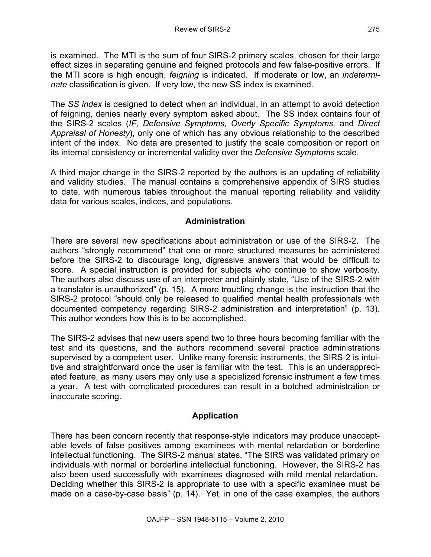is examined. The MTI is the sum of four SIRS-2 primary scales, chosen for their large effect sizes in separating genuine and feigned protocols and few false-positive errors. If the MTI score is high enough, *feigning* is indicated. If moderate or low, an *indeterminate* classification is given. If very low, the new SS index is examined.

The *SS index* is designed to detect when an individual, in an attempt to avoid detection of feigning, denies nearly every symptom asked about. The SS index contains four of the SIRS-2 scales (*IF, Defensive Symptoms, Overly Specific Symptoms,* and *Direct Appraisal of Honesty*), only one of which has any obvious relationship to the described intent of the index. No data are presented to justify the scale composition or report on its internal consistency or incremental validity over the *Defensive Symptoms* scale.

A third major change in the SIRS-2 reported by the authors is an updating of reliability and validity studies. The manual contains a comprehensive appendix of SIRS studies to date, with numerous tables throughout the manual reporting reliability and validity data for various scales, indices, and populations.

## **Administration**

There are several new specifications about administration or use of the SIRS-2. The authors "strongly recommend" that one or more structured measures be administered before the SIRS-2 to discourage long, digressive answers that would be difficult to score. A special instruction is provided for subjects who continue to show verbosity. The authors also discuss use of an interpreter and plainly state, "Use of the SIRS-2 with a translator is unauthorized" (p. 15). A more troubling change is the instruction that the SIRS-2 protocol "should only be released to qualified mental health professionals with documented competency regarding SIRS-2 administration and interpretation" (p. 13). This author wonders how this is to be accomplished.

The SIRS-2 advises that new users spend two to three hours becoming familiar with the test and its questions, and the authors recommend several practice administrations supervised by a competent user. Unlike many forensic instruments, the SIRS-2 is intuitive and straightforward once the user is familiar with the test. This is an underappreciated feature, as many users may only use a specialized forensic instrument a few times a year. A test with complicated procedures can result in a botched administration or inaccurate scoring.

## **Application**

There has been concern recently that response-style indicators may produce unacceptable levels of false positives among examinees with mental retardation or borderline intellectual functioning. The SIRS-2 manual states, "The SIRS was validated primary on individuals with normal or borderline intellectual functioning. However, the SIRS-2 has also been used successfully with examinees diagnosed with mild mental retardation. Deciding whether this SIRS-2 is appropriate to use with a specific examinee must be made on a case-by-case basis" (p. 14). Yet, in one of the case examples, the authors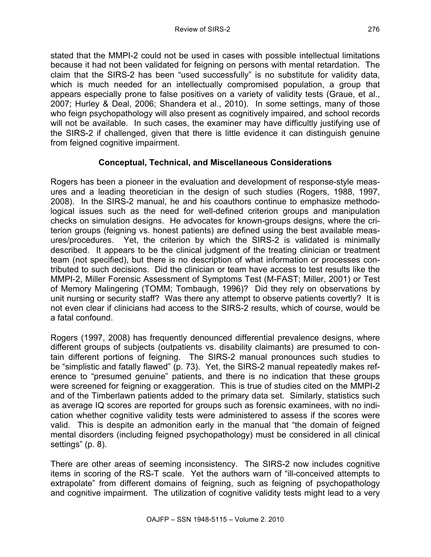stated that the MMPI-2 could not be used in cases with possible intellectual limitations because it had not been validated for feigning on persons with mental retardation. The claim that the SIRS-2 has been "used successfully" is no substitute for validity data, which is much needed for an intellectually compromised population, a group that appears especially prone to false positives on a variety of validity tests (Graue, et al., 2007; Hurley & Deal, 2006; Shandera et al., 2010). In some settings, many of those who feign psychopathology will also present as cognitively impaired, and school records will not be available. In such cases, the examiner may have difficultly justifying use of the SIRS-2 if challenged, given that there is little evidence it can distinguish genuine from feigned cognitive impairment.

## **Conceptual, Technical, and Miscellaneous Considerations**

Rogers has been a pioneer in the evaluation and development of response-style measures and a leading theoretician in the design of such studies (Rogers, 1988, 1997, 2008). In the SIRS-2 manual, he and his coauthors continue to emphasize methodological issues such as the need for well-defined criterion groups and manipulation checks on simulation designs. He advocates for known-groups designs, where the criterion groups (feigning vs. honest patients) are defined using the best available measures/procedures. Yet, the criterion by which the SIRS-2 is validated is minimally described. It appears to be the clinical judgment of the treating clinician or treatment team (not specified), but there is no description of what information or processes contributed to such decisions. Did the clinician or team have access to test results like the MMPI-2, Miller Forensic Assessment of Symptoms Test (M-FAST; Miller, 2001) or Test of Memory Malingering (TOMM; Tombaugh, 1996)? Did they rely on observations by unit nursing or security staff? Was there any attempt to observe patients covertly? It is not even clear if clinicians had access to the SIRS-2 results, which of course, would be a fatal confound.

Rogers (1997, 2008) has frequently denounced differential prevalence designs, where different groups of subjects (outpatients vs. disability claimants) are presumed to contain different portions of feigning. The SIRS-2 manual pronounces such studies to be "simplistic and fatally flawed" (p. 73). Yet, the SIRS-2 manual repeatedly makes reference to "presumed genuine" patients, and there is no indication that these groups were screened for feigning or exaggeration. This is true of studies cited on the MMPI-2 and of the Timberlawn patients added to the primary data set. Similarly, statistics such as average IQ scores are reported for groups such as forensic examinees, with no indication whether cognitive validity tests were administered to assess if the scores were valid. This is despite an admonition early in the manual that "the domain of feigned mental disorders (including feigned psychopathology) must be considered in all clinical settings" (p. 8).

There are other areas of seeming inconsistency. The SIRS-2 now includes cognitive items in scoring of the RS-T scale. Yet the authors warn of "ill-conceived attempts to extrapolate" from different domains of feigning, such as feigning of psychopathology and cognitive impairment. The utilization of cognitive validity tests might lead to a very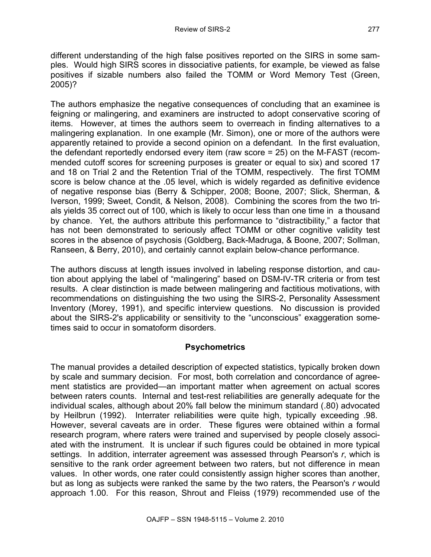different understanding of the high false positives reported on the SIRS in some samples. Would high SIRS scores in dissociative patients, for example, be viewed as false positives if sizable numbers also failed the TOMM or Word Memory Test (Green, 2005)?

The authors emphasize the negative consequences of concluding that an examinee is feigning or malingering, and examiners are instructed to adopt conservative scoring of items. However, at times the authors seem to overreach in finding alternatives to a malingering explanation. In one example (Mr. Simon), one or more of the authors were apparently retained to provide a second opinion on a defendant. In the first evaluation, the defendant reportedly endorsed every item (raw score = 25) on the M-FAST (recommended cutoff scores for screening purposes is greater or equal to six) and scored 17 and 18 on Trial 2 and the Retention Trial of the TOMM, respectively. The first TOMM score is below chance at the .05 level, which is widely regarded as definitive evidence of negative response bias (Berry & Schipper, 2008; Boone, 2007; Slick, Sherman, & Iverson, 1999; Sweet, Condit, & Nelson, 2008). Combining the scores from the two trials yields 35 correct out of 100, which is likely to occur less than one time in a thousand by chance. Yet, the authors attribute this performance to "distractibility," a factor that has not been demonstrated to seriously affect TOMM or other cognitive validity test scores in the absence of psychosis (Goldberg, Back-Madruga, & Boone, 2007; Sollman, Ranseen, & Berry, 2010), and certainly cannot explain below-chance performance.

The authors discuss at length issues involved in labeling response distortion, and caution about applying the label of "malingering" based on DSM-IV-TR criteria or from test results. A clear distinction is made between malingering and factitious motivations, with recommendations on distinguishing the two using the SIRS-2, Personality Assessment Inventory (Morey, 1991), and specific interview questions. No discussion is provided about the SIRS-2's applicability or sensitivity to the "unconscious" exaggeration sometimes said to occur in somatoform disorders.

# **Psychometrics**

The manual provides a detailed description of expected statistics, typically broken down by scale and summary decision. For most, both correlation and concordance of agreement statistics are provided—an important matter when agreement on actual scores between raters counts. Internal and test-rest reliabilities are generally adequate for the individual scales, although about 20% fall below the minimum standard (.80) advocated by Heilbrun (1992). Interrater reliabilities were quite high, typically exceeding .98. However, several caveats are in order. These figures were obtained within a formal research program, where raters were trained and supervised by people closely associated with the instrument. It is unclear if such figures could be obtained in more typical settings. In addition, interrater agreement was assessed through Pearson's *r*, which is sensitive to the rank order agreement between two raters, but not difference in mean values. In other words, one rater could consistently assign higher scores than another, but as long as subjects were ranked the same by the two raters, the Pearson's *r* would approach 1.00. For this reason, Shrout and Fleiss (1979) recommended use of the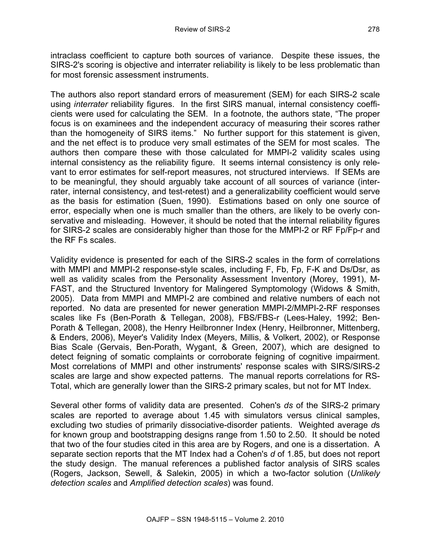intraclass coefficient to capture both sources of variance. Despite these issues, the SIRS-2's scoring is objective and interrater reliability is likely to be less problematic than for most forensic assessment instruments.

The authors also report standard errors of measurement (SEM) for each SIRS-2 scale using *interrater* reliability figures. In the first SIRS manual, internal consistency coefficients were used for calculating the SEM. In a footnote, the authors state, "The proper focus is on examinees and the independent accuracy of measuring their scores rather than the homogeneity of SIRS items." No further support for this statement is given, and the net effect is to produce very small estimates of the SEM for most scales. The authors then compare these with those calculated for MMPI-2 validity scales using internal consistency as the reliability figure. It seems internal consistency is only relevant to error estimates for self-report measures, not structured interviews. If SEMs are to be meaningful, they should arguably take account of all sources of variance (interrater, internal consistency, and test-retest) and a generalizability coefficient would serve as the basis for estimation (Suen, 1990). Estimations based on only one source of error, especially when one is much smaller than the others, are likely to be overly conservative and misleading. However, it should be noted that the internal reliability figures for SIRS-2 scales are considerably higher than those for the MMPI-2 or RF Fp/Fp-r and the RF Fs scales.

Validity evidence is presented for each of the SIRS-2 scales in the form of correlations with MMPI and MMPI-2 response-style scales, including F, Fb, Fp, F-K and Ds/Dsr, as well as validity scales from the Personality Assessment Inventory (Morey, 1991), M-FAST, and the Structured Inventory for Malingered Symptomology (Widows & Smith, 2005). Data from MMPI and MMPI-2 are combined and relative numbers of each not reported. No data are presented for newer generation MMPI-2/MMPI-2-RF responses scales like Fs (Ben-Porath & Tellegan, 2008), FBS/FBS-r (Lees-Haley, 1992; Ben-Porath & Tellegan, 2008), the Henry Heilbronner Index (Henry, Heilbronner, Mittenberg, & Enders, 2006), Meyer's Validity Index (Meyers, Millis, & Volkert, 2002), or Response Bias Scale (Gervais, Ben-Porath, Wygant, & Green, 2007), which are designed to detect feigning of somatic complaints or corroborate feigning of cognitive impairment. Most correlations of MMPI and other instruments' response scales with SIRS/SIRS-2 scales are large and show expected patterns. The manual reports correlations for RS-Total, which are generally lower than the SIRS-2 primary scales, but not for MT Index.

Several other forms of validity data are presented. Cohen's *ds* of the SIRS-2 primary scales are reported to average about 1.45 with simulators versus clinical samples, excluding two studies of primarily dissociative-disorder patients. Weighted average *d*s for known group and bootstrapping designs range from 1.50 to 2.50. It should be noted that two of the four studies cited in this area are by Rogers, and one is a dissertation. A separate section reports that the MT Index had a Cohen's *d* of 1.85, but does not report the study design. The manual references a published factor analysis of SIRS scales (Rogers, Jackson, Sewell, & Salekin, 2005) in which a two-factor solution (*Unlikely detection scales* and *Amplified detection scales*) was found.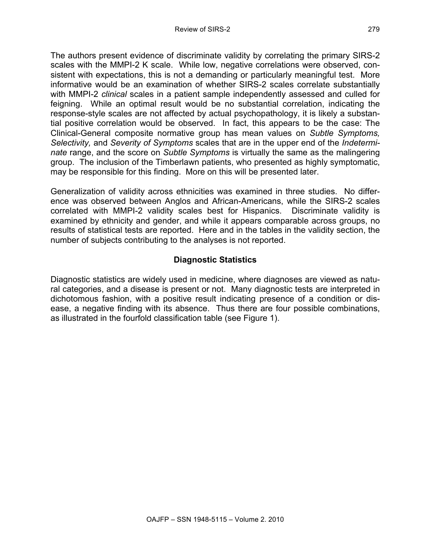The authors present evidence of discriminate validity by correlating the primary SIRS-2 scales with the MMPI-2 K scale. While low, negative correlations were observed, consistent with expectations, this is not a demanding or particularly meaningful test. More informative would be an examination of whether SIRS-2 scales correlate substantially with MMPI-2 *clinical* scales in a patient sample independently assessed and culled for feigning. While an optimal result would be no substantial correlation, indicating the response-style scales are not affected by actual psychopathology, it is likely a substantial positive correlation would be observed. In fact, this appears to be the case: The Clinical-General composite normative group has mean values on *Subtle Symptoms, Selectivity,* and *Severity of Symptoms* scales that are in the upper end of the *Indeterminate* range, and the score on *Subtle Symptoms* is virtually the same as the malingering group. The inclusion of the Timberlawn patients, who presented as highly symptomatic, may be responsible for this finding. More on this will be presented later.

Generalization of validity across ethnicities was examined in three studies. No difference was observed between Anglos and African-Americans, while the SIRS-2 scales correlated with MMPI-2 validity scales best for Hispanics. Discriminate validity is examined by ethnicity and gender, and while it appears comparable across groups, no results of statistical tests are reported. Here and in the tables in the validity section, the number of subjects contributing to the analyses is not reported.

## **Diagnostic Statistics**

Diagnostic statistics are widely used in medicine, where diagnoses are viewed as natural categories, and a disease is present or not. Many diagnostic tests are interpreted in dichotomous fashion, with a positive result indicating presence of a condition or disease, a negative finding with its absence. Thus there are four possible combinations, as illustrated in the fourfold classification table (see Figure 1).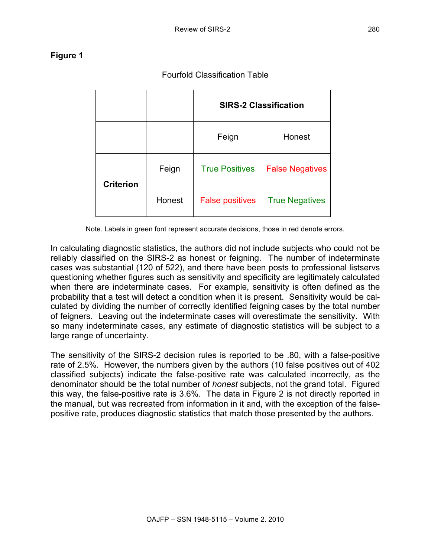# **Figure 1**

**SIRS-2 Classification** Feign | Honest **Criterion** Feign | True Positives | False Negatives Honest | False positives | True Negatives

Note. Labels in green font represent accurate decisions, those in red denote errors.

In calculating diagnostic statistics, the authors did not include subjects who could not be reliably classified on the SIRS-2 as honest or feigning. The number of indeterminate cases was substantial (120 of 522), and there have been posts to professional listservs questioning whether figures such as sensitivity and specificity are legitimately calculated when there are indeterminate cases. For example, sensitivity is often defined as the probability that a test will detect a condition when it is present. Sensitivity would be calculated by dividing the number of correctly identified feigning cases by the total number of feigners. Leaving out the indeterminate cases will overestimate the sensitivity. With so many indeterminate cases, any estimate of diagnostic statistics will be subject to a large range of uncertainty.

The sensitivity of the SIRS-2 decision rules is reported to be .80, with a false-positive rate of 2.5%. However, the numbers given by the authors (10 false positives out of 402 classified subjects) indicate the false-positive rate was calculated incorrectly, as the denominator should be the total number of *honest* subjects, not the grand total. Figured this way, the false-positive rate is 3.6%. The data in Figure 2 is not directly reported in the manual, but was recreated from information in it and, with the exception of the falsepositive rate, produces diagnostic statistics that match those presented by the authors.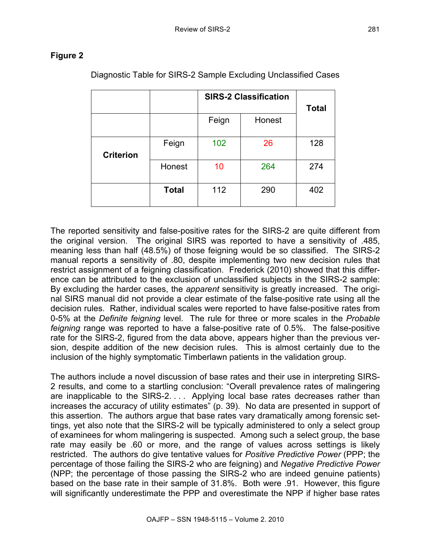## **Figure 2**

|                  |              | <b>SIRS-2 Classification</b> |        | <b>Total</b> |
|------------------|--------------|------------------------------|--------|--------------|
|                  |              | Feign                        | Honest |              |
| <b>Criterion</b> | Feign        | 102                          | 26     | 128          |
|                  | Honest       | 10                           | 264    | 274          |
|                  | <b>Total</b> | 112                          | 290    | 402          |

Diagnostic Table for SIRS-2 Sample Excluding Unclassified Cases

The reported sensitivity and false-positive rates for the SIRS-2 are quite different from the original version. The original SIRS was reported to have a sensitivity of .485, meaning less than half (48.5%) of those feigning would be so classified. The SIRS-2 manual reports a sensitivity of .80, despite implementing two new decision rules that restrict assignment of a feigning classification. Frederick (2010) showed that this difference can be attributed to the exclusion of unclassified subjects in the SIRS-2 sample: By excluding the harder cases, the *apparent* sensitivity is greatly increased. The original SIRS manual did not provide a clear estimate of the false-positive rate using all the decision rules. Rather, individual scales were reported to have false-positive rates from 0-5% at the *Definite feigning* level. The rule for three or more scales in the *Probable feigning* range was reported to have a false-positive rate of 0.5%. The false-positive rate for the SIRS-2, figured from the data above, appears higher than the previous version, despite addition of the new decision rules. This is almost certainly due to the inclusion of the highly symptomatic Timberlawn patients in the validation group.

The authors include a novel discussion of base rates and their use in interpreting SIRS-2 results, and come to a startling conclusion: "Overall prevalence rates of malingering are inapplicable to the SIRS-2. . . . Applying local base rates decreases rather than increases the accuracy of utility estimates" (p. 39). No data are presented in support of this assertion. The authors argue that base rates vary dramatically among forensic settings, yet also note that the SIRS-2 will be typically administered to only a select group of examinees for whom malingering is suspected. Among such a select group, the base rate may easily be .60 or more, and the range of values across settings is likely restricted. The authors do give tentative values for *Positive Predictive Power* (PPP; the percentage of those failing the SIRS-2 who are feigning) and *Negative Predictive Power* (NPP; the percentage of those passing the SIRS-2 who are indeed genuine patients) based on the base rate in their sample of 31.8%. Both were .91. However, this figure will significantly underestimate the PPP and overestimate the NPP if higher base rates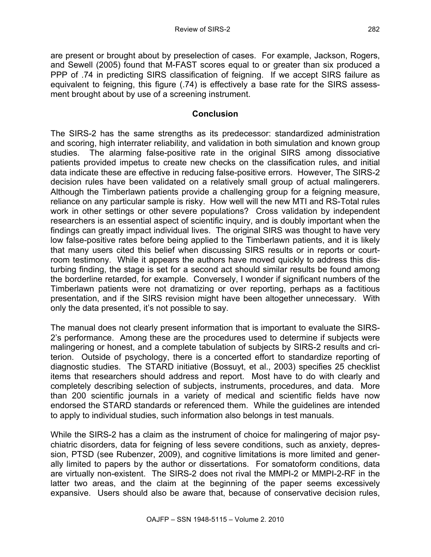are present or brought about by preselection of cases. For example, Jackson, Rogers, and Sewell (2005) found that M-FAST scores equal to or greater than six produced a PPP of .74 in predicting SIRS classification of feigning. If we accept SIRS failure as equivalent to feigning, this figure (.74) is effectively a base rate for the SIRS assessment brought about by use of a screening instrument.

#### **Conclusion**

The SIRS-2 has the same strengths as its predecessor: standardized administration and scoring, high interrater reliability, and validation in both simulation and known group studies. The alarming false-positive rate in the original SIRS among dissociative patients provided impetus to create new checks on the classification rules, and initial data indicate these are effective in reducing false-positive errors. However, The SIRS-2 decision rules have been validated on a relatively small group of actual malingerers. Although the Timberlawn patients provide a challenging group for a feigning measure, reliance on any particular sample is risky. How well will the new MTI and RS-Total rules work in other settings or other severe populations? Cross validation by independent researchers is an essential aspect of scientific inquiry, and is doubly important when the findings can greatly impact individual lives. The original SIRS was thought to have very low false-positive rates before being applied to the Timberlawn patients, and it is likely that many users cited this belief when discussing SIRS results or in reports or courtroom testimony. While it appears the authors have moved quickly to address this disturbing finding, the stage is set for a second act should similar results be found among the borderline retarded, for example. Conversely, I wonder if significant numbers of the Timberlawn patients were not dramatizing or over reporting, perhaps as a factitious presentation, and if the SIRS revision might have been altogether unnecessary. With only the data presented, it's not possible to say.

The manual does not clearly present information that is important to evaluate the SIRS-2's performance. Among these are the procedures used to determine if subjects were malingering or honest, and a complete tabulation of subjects by SIRS-2 results and criterion. Outside of psychology, there is a concerted effort to standardize reporting of diagnostic studies. The STARD initiative (Bossuyt, et al., 2003) specifies 25 checklist items that researchers should address and report. Most have to do with clearly and completely describing selection of subjects, instruments, procedures, and data. More than 200 scientific journals in a variety of medical and scientific fields have now endorsed the STARD standards or referenced them. While the guidelines are intended to apply to individual studies, such information also belongs in test manuals.

While the SIRS-2 has a claim as the instrument of choice for malingering of major psychiatric disorders, data for feigning of less severe conditions, such as anxiety, depression, PTSD (see Rubenzer, 2009), and cognitive limitations is more limited and generally limited to papers by the author or dissertations. For somatoform conditions, data are virtually non-existent. The SIRS-2 does not rival the MMPI-2 or MMPI-2-RF in the latter two areas, and the claim at the beginning of the paper seems excessively expansive. Users should also be aware that, because of conservative decision rules,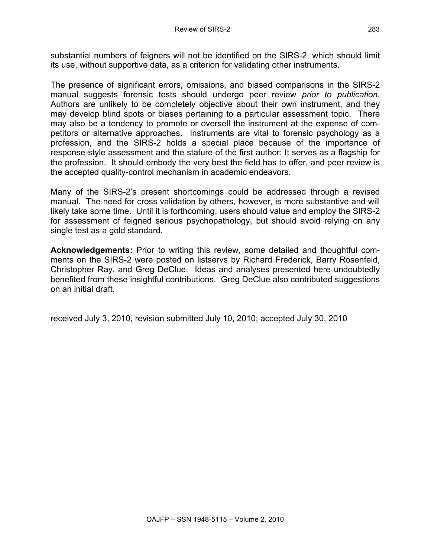substantial numbers of feigners will not be identified on the SIRS-2, which should limit its use, without supportive data, as a criterion for validating other instruments.

The presence of significant errors, omissions, and biased comparisons in the SIRS-2 manual suggests forensic tests should undergo peer review *prior to publication*. Authors are unlikely to be completely objective about their own instrument, and they may develop blind spots or biases pertaining to a particular assessment topic. There may also be a tendency to promote or oversell the instrument at the expense of competitors or alternative approaches. Instruments are vital to forensic psychology as a profession, and the SIRS-2 holds a special place because of the importance of response-style assessment and the stature of the first author: It serves as a flagship for the profession. It should embody the very best the field has to offer, and peer review is the accepted quality-control mechanism in academic endeavors.

Many of the SIRS-2's present shortcomings could be addressed through a revised manual. The need for cross validation by others, however, is more substantive and will likely take some time. Until it is forthcoming, users should value and employ the SIRS-2 for assessment of feigned serious psychopathology, but should avoid relying on any single test as a gold standard.

**Acknowledgements:** Prior to writing this review, some detailed and thoughtful comments on the SIRS-2 were posted on listservs by Richard Frederick, Barry Rosenfeld, Christopher Ray, and Greg DeClue. Ideas and analyses presented here undoubtedly benefited from these insightful contributions. Greg DeClue also contributed suggestions on an initial draft.

received July 3, 2010, revision submitted July 10, 2010; accepted July 30, 2010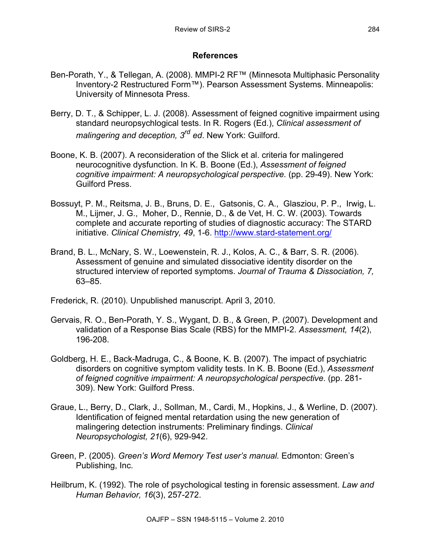## **References**

- Ben-Porath, Y., & Tellegan, A. (2008). MMPI-2 RF™ (Minnesota Multiphasic Personality Inventory-2 Restructured Form™). Pearson Assessment Systems. Minneapolis: University of Minnesota Press.
- Berry, D. T., & Schipper, L. J. (2008). Assessment of feigned cognitive impairment using standard neuropsychlogical tests. In R. Rogers (Ed.), *Clinical assessment of malingering and deception, 3rd ed*. New York: Guilford.
- Boone, K. B. (2007). A reconsideration of the Slick et al. criteria for malingered neurocognitive dysfunction. In K. B. Boone (Ed.), *Assessment of feigned cognitive impairment: A neuropsychological perspective.* (pp. 29-49). New York: Guilford Press.
- Bossuyt, P. M., Reitsma, J. B., Bruns, D. E., Gatsonis, C. A., Glasziou, P. P., Irwig, L. M., Lijmer, J. G., Moher, D., Rennie, D., & de Vet, H. C. W. (2003). Towards complete and accurate reporting of studies of diagnostic accuracy: The STARD initiative. *Clinical Chemistry, 49*, 1-6. http://www.stard-statement.org/
- Brand, B. L., McNary, S. W., Loewenstein, R. J., Kolos, A. C., & Barr, S. R. (2006). Assessment of genuine and simulated dissociative identity disorder on the structured interview of reported symptoms. *Journal of Trauma & Dissociation, 7,*  63–85.

Frederick, R. (2010). Unpublished manuscript. April 3, 2010.

- Gervais, R. O., Ben-Porath, Y. S., Wygant, D. B., & Green, P. (2007). Development and validation of a Response Bias Scale (RBS) for the MMPI-2. *Assessment, 14*(2), 196-208.
- Goldberg, H. E., Back-Madruga, C., & Boone, K. B. (2007). The impact of psychiatric disorders on cognitive symptom validity tests. In K. B. Boone (Ed.), *Assessment of feigned cognitive impairment: A neuropsychological perspective*. (pp. 281- 309). New York: Guilford Press.
- Graue, L., Berry, D., Clark, J., Sollman, M., Cardi, M., Hopkins, J., & Werline, D. (2007). Identification of feigned mental retardation using the new generation of malingering detection instruments: Preliminary findings. *Clinical Neuropsychologist, 21*(6), 929-942.
- Green, P. (2005). *Green's Word Memory Test user's manual.* Edmonton: Green's Publishing, Inc.
- Heilbrum, K. (1992). The role of psychological testing in forensic assessment. *Law and Human Behavior, 16*(3), 257-272.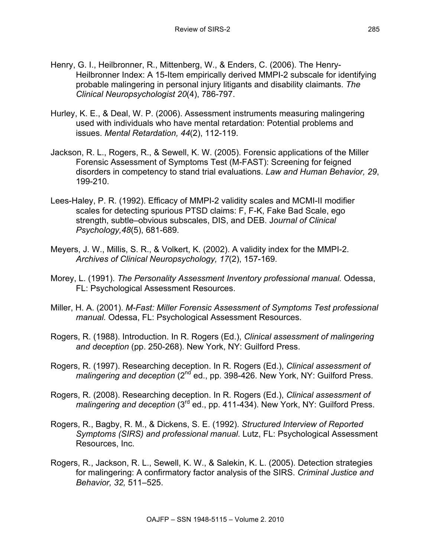- Henry, G. I., Heilbronner, R., Mittenberg, W., & Enders, C. (2006). The Henry-Heilbronner Index: A 15-Item empirically derived MMPI-2 subscale for identifying probable malingering in personal injury litigants and disability claimants. *The Clinical Neuropsychologist 20*(4), 786-797.
- Hurley, K. E., & Deal, W. P. (2006). Assessment instruments measuring malingering used with individuals who have mental retardation: Potential problems and issues. *Mental Retardation, 44*(2), 112-119.
- Jackson, R. L., Rogers, R., & Sewell, K. W. (2005). Forensic applications of the Miller Forensic Assessment of Symptoms Test (M-FAST): Screening for feigned disorders in competency to stand trial evaluations. *Law and Human Behavior, 29*, 199-210.
- Lees-Haley, P. R. (1992). Efficacy of MMPI-2 validity scales and MCMI-II modifier scales for detecting spurious PTSD claims: F, F-K, Fake Bad Scale, ego strength, subtle–obvious subscales, DIS, and DEB. J*ournal of Clinical Psychology,48*(5), 681-689.
- Meyers, J. W., Millis, S. R., & Volkert, K. (2002). A validity index for the MMPI-2. *Archives of Clinical Neuropsychology, 17*(2), 157-169.
- Morey, L. (1991). *The Personality Assessment Inventory professional manual.* Odessa, FL: Psychological Assessment Resources.
- Miller, H. A. (2001). *M-Fast: Miller Forensic Assessment of Symptoms Test professional manual.* Odessa, FL: Psychological Assessment Resources.
- Rogers, R. (1988). Introduction. In R. Rogers (Ed.), *Clinical assessment of malingering and deception* (pp. 250-268). New York, NY: Guilford Press.
- Rogers, R. (1997). Researching deception. In R. Rogers (Ed.), *Clinical assessment of malingering and deception* (2<sup>nd</sup> ed., pp. 398-426. New York, NY: Guilford Press.
- Rogers, R. (2008). Researching deception. In R. Rogers (Ed.), *Clinical assessment of malingering and deception* (3rd ed., pp. 411-434). New York, NY: Guilford Press.
- Rogers, R., Bagby, R. M., & Dickens, S. E. (1992). *Structured Interview of Reported Symptoms (SIRS) and professional manual*. Lutz, FL: Psychological Assessment Resources, Inc.
- Rogers, R., Jackson, R. L., Sewell, K. W., & Salekin, K. L. (2005). Detection strategies for malingering: A confirmatory factor analysis of the SIRS. *Criminal Justice and Behavior, 32,* 511–525.